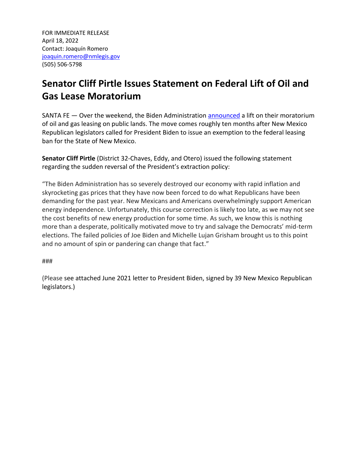## **Senator Cliff Pirtle Issues Statement on Federal Lift of Oil and Gas Lease Moratorium**

SANTA FE — Over the weekend, the Biden Administration [announced](https://www.cnbc.com/2022/04/15/biden-administration-to-resume-leasing-for-oil-and-gas-drilling-on-federal-lands.html) a lift on their moratorium of oil and gas leasing on public lands. The move comes roughly ten months after New Mexico Republican legislators called for President Biden to issue an exemption to the federal leasing ban for the State of New Mexico.

**Senator Cliff Pirtle** (District 32-Chaves, Eddy, and Otero) issued the following statement regarding the sudden reversal of the President's extraction policy:

"The Biden Administration has so severely destroyed our economy with rapid inflation and skyrocketing gas prices that they have now been forced to do what Republicans have been demanding for the past year. New Mexicans and Americans overwhelmingly support American energy independence. Unfortunately, this course correction is likely too late, as we may not see the cost benefits of new energy production for some time. As such, we know this is nothing more than a desperate, politically motivated move to try and salvage the Democrats' mid-term elections. The failed policies of Joe Biden and Michelle Lujan Grisham brought us to this point and no amount of spin or pandering can change that fact."

###

(Please see attached June 2021 letter to President Biden, signed by 39 New Mexico Republican legislators.)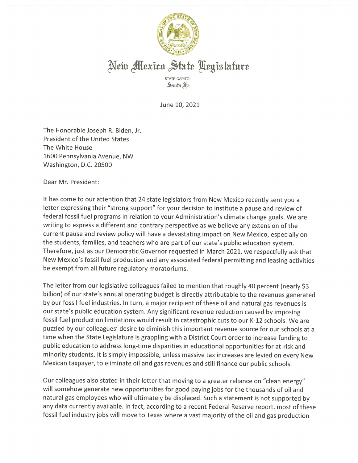

## New Mexico State Legislature

STATE CAPITOL Santa Fre

June 10, 2021

The Honorable Joseph R. Biden, Jr. **President of the United States** The White House 1600 Pennsylvania Avenue, NW Washington, D.C. 20500

Dear Mr. President:

It has come to our attention that 24 state legislators from New Mexico recently sent you a letter expressing their "strong support" for your decision to institute a pause and review of federal fossil fuel programs in relation to your Administration's climate change goals. We are writing to express a different and contrary perspective as we believe any extension of the current pause and review policy will have a devastating impact on New Mexico, especially on the students, families, and teachers who are part of our state's public education system. Therefore, just as our Democratic Governor requested in March 2021, we respectfully ask that New Mexico's fossil fuel production and any associated federal permitting and leasing activities be exempt from all future regulatory moratoriums.

The letter from our legislative colleagues failed to mention that roughly 40 percent (nearly \$3 billion) of our state's annual operating budget is directly attributable to the revenues generated by our fossil fuel industries. In turn, a major recipient of these oil and natural gas revenues is our state's public education system. Any significant revenue reduction caused by imposing fossil fuel production limitations would result in catastrophic cuts to our K-12 schools. We are puzzled by our colleagues' desire to diminish this important revenue source for our schools at a time when the State Legislature is grappling with a District Court order to increase funding to public education to address long-time disparities in educational opportunities for at-risk and minority students. It is simply impossible, unless massive tax increases are levied on every New Mexican taxpayer, to eliminate oil and gas revenues and still finance our public schools.

Our colleagues also stated in their letter that moving to a greater reliance on "clean energy" will somehow generate new opportunities for good paying jobs for the thousands of oil and natural gas employees who will ultimately be displaced. Such a statement is not supported by any data currently available. In fact, according to a recent Federal Reserve report, most of these fossil fuel industry jobs will move to Texas where a vast majority of the oil and gas production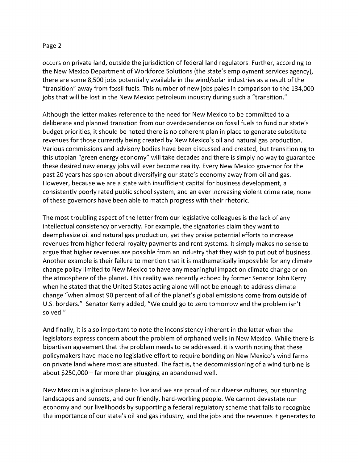occurs on private land, outside the jurisdiction of federal land regulators. Further, according to the New Mexico Department of Workforce Solutions (the state's employment services agency), there are some 8,500 jobs potentially available in the wind/solar industries as a result of the "transition" away from fossil fuels. This number of new jobs pales in comparison to the 134,000 jobs that will be lost in the New Mexico petroleum industry during such a "transition."

Although the letter makes reference to the need for New Mexico to be committed to a deliberate and planned transition from our overdependence on fossil fuels to fund our state's budget priorities, it should be noted there is no coherent plan in place to generate substitute revenues for those currently being created by New Mexico's oil and natural gas production. Various commissions and advisory bodies have been discussed and created, but transitioning to this utopian "green energy economy" will take decades and there is simply no way to guarantee these desired new energy jobs will ever become reality. Every New Mexico governor for the past 20 years has spoken about diversifying our state's economy away from oil and gas. However, because we are a state with insufficient capital for business development, a consistently poorly rated public school system, and an ever increasing violent crime rate, none of these governors have been able to match progress with their rhetoric.

The most troubling aspect of the letter from our legislative colleagues is the lack of any intellectual consistency or veracity. For example, the signatories claim they want to deemphasize oil and natural gas production, yet they praise potential efforts to increase revenues from higher federal royalty payments and rent systems. It simply makes no sense to argue that higher revenues are possible from an industry that they wish to put out of business. Another example is their failure to mention that it is mathematically impossible for any climate change policy limited to New Mexico to have any meaningful impact on climate change or on the atmosphere of the planet. This reality was recently echoed by former Senator John Kerry when he stated that the United States acting alone will not be enough to address climate change "when almost 90 percent of all of the planet's global emissions come from outside of U.S. borders." Senator Kerry added, "We could go to zero tomorrow and the problem isn't solved."

And finally, it is also important to note the inconsistency inherent in the letter when the legislators express concern about the problem of orphaned wells in New Mexico. While there is bipartisan agreement that the problem needs to be addressed, it is worth noting that these policymakers have made no legislative effort to require bonding on New Mexico's wind farms on private land where most are situated. The fact is, the decommissioning of a wind turbine is about \$250,000 - far more than plugging an abandoned well.

New Mexico is a glorious place to live and we are proud of our diverse cultures, our stunning landscapes and sunsets, and our friendly, hard-working people. We cannot devastate our economy and our livelihoods by supporting a federal regulatory scheme that fails to recognize the importance of our state's oil and gas industry, and the jobs and the revenues it generates to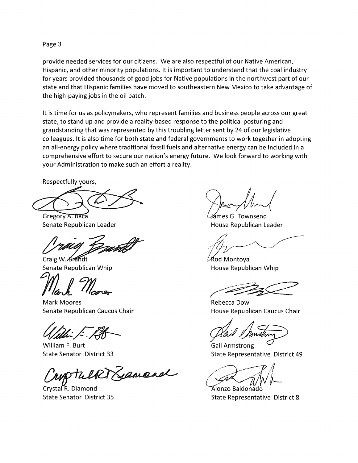provide needed services for our citizens. We are also respectful of our Native American, Hispanic, and other minority populations. It is important to understand that the coal industry for years provided thousands of good jobs for Native populations in the northwest part of our state and that Hispanic families have moved to southeastern New Mexico to take advantage of the high-paying jobs in the oil patch.

It is time for us as policymakers, who represent families and business people across our great state, to stand up and provide a reality-based response to the political posturing and grandstanding that was represented by this troubling letter sent by 24 of our legislative colleagues. It is also time for both state and federal governments to work together in adopting an all-energy policy where traditional fossil fuels and alternative energy can be included in a comprehensive effort to secure our nation's energy future. We look forward to working with your Administration to make such an effort a reality.

Respectfully yours,

Gregory A. Baca Senate Republican Leader

Craig W. Brandt

Senate Republican Whip

**Mark Moores** Senate Republican Caucus Chair

William F. Burt **State Senator District 33** 

WATELRIXManand

Crystal R. Diamond **State Senator District 35** 

ámes G. Townsend House Republican Leader

∕Kod Montoya House Republican Whip

Rebecca Dow House Republican Caucus Chair

**Gail Armstrong** State Representative District 49

Álonzo Baldonádo State Representative District 8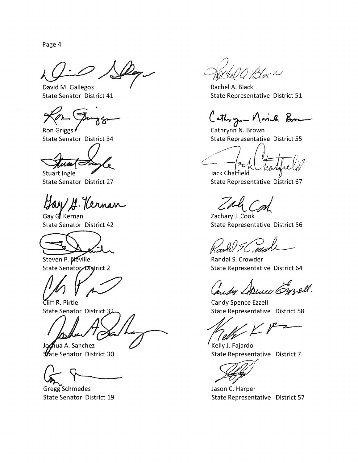David M. Gallegos State Senator District 41

ౌ

Ron Griggs **State Senator District 34** 

Stuart Ingle **State Senator District 27** 

Bay G. Vernan

Gay G. Kernan **State Senator District 42** 



Steven P. Meville State Senator District 2

Cliff R. Pirtle State Senator District 32

Joshua A. Sanchez **Wate Senator District 30** 

Gregg Schmedes **State Senator District 19** 

2. Hock

Rachel A. Black State Representative District 51

Cothygun Novich Brown

Cathrynn N. Brown **State Representative District 55** 

Jack Chatfield State Representative District 67

Call Cont

Zachary J. Cook State Representative District 56

Randal S. Crowder State Representative District 64

Candy Apine Emell

Candy Spence Ezzell State Representative District 58

Kelly J. Fajardo State Representative District 7

Jason C. Harper State Representative District 57